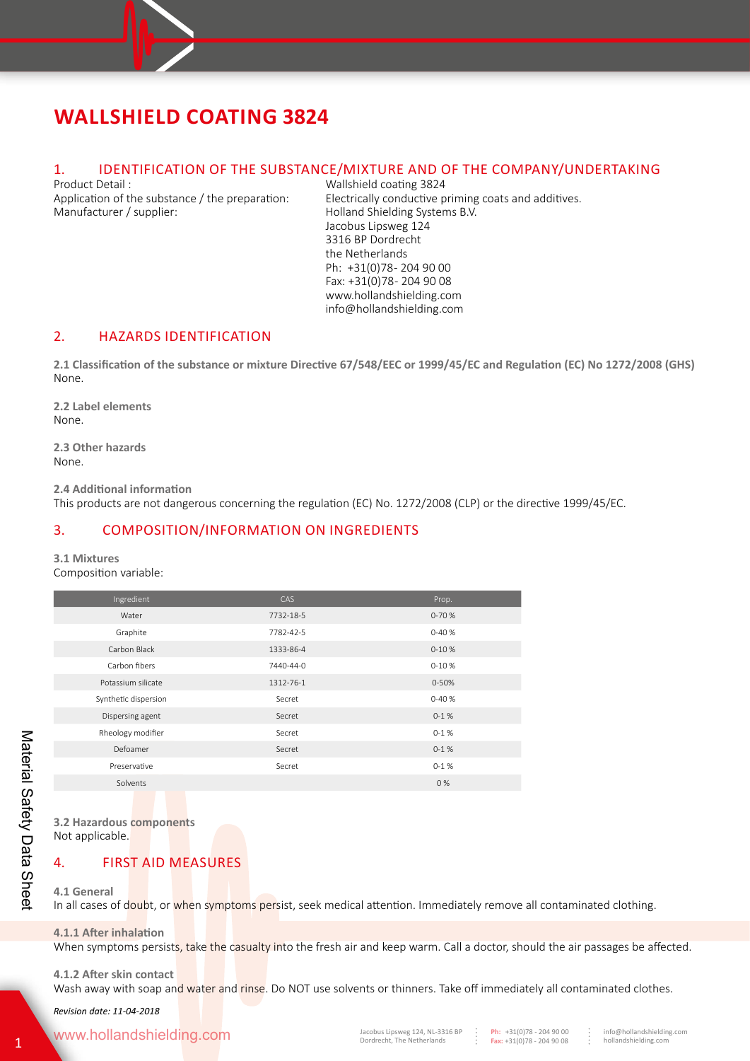# 1. IDENTIFICATION OF THE SUBSTANCE/MIXTURE AND OF THE COMPANY/UNDERTAKING<br>Product Detail : Wallshield coating 3824

Wallshield coating 3824 Application of the substance / the preparation: Electrically conductive priming coats and additives.<br>
Holland Shielding Systems B.V.<br>
Holland Shielding Systems B.V. Holland Shielding Systems B.V. Jacobus Lipsweg 124 3316 BP Dordrecht the Netherlands Ph: +31(0)78-204 90 00 Fax: +31(0)78 - 204 90 08 www.hollandshielding.com info@hollandshielding.com

### 2. HAZARDS IDENTIFICATION

**2.1 Classification of the substance or mixture Directive 67/548/EEC or 1999/45/EC and Regulation (EC) No 1272/2008 (GHS)** None.

**2.2 Label elements** None.

**2.3 Other hazards** None.

**2.4 Additional information**

This products are not dangerous concerning the regulation (EC) No. 1272/2008 (CLP) or the directive 1999/45/EC.

### 3. COMPOSITION/INFORMATION ON INGREDIENTS

**3.1 Mixtures** Composition variable:

ı

| Ingredient           | CAS       | Prop.     |
|----------------------|-----------|-----------|
| Water                | 7732-18-5 | $0-70%$   |
| Graphite             | 7782-42-5 | $0 - 40%$ |
| Carbon Black         | 1333-86-4 | $0 - 10%$ |
| Carbon fibers        | 7440-44-0 | $0 - 10%$ |
| Potassium silicate   | 1312-76-1 | $0 - 50%$ |
| Synthetic dispersion | Secret    | $0-40%$   |
| Dispersing agent     | Secret    | $0-1%$    |
| Rheology modifier    | Secret    | $0 - 1%$  |
| Defoamer             | Secret    | $0 - 1%$  |
| Preservative         | Secret    | $0 - 1%$  |
| Solvents             |           | 0%        |

**3.2 Hazardous components** Not applicable.

## 4. FIRST AID MEASURES

#### **4.1 General**

In all cases of doubt, or when symptoms persist, seek medical attention. Immediately remove all contaminated clothing.

#### **4.1.1 After inhalation**

When symptoms persists, take the casualty into the fresh air and keep warm. Call a doctor, should the air passages be affected.

### **4.1.2 After skin contact**

Wash away with soap and water and rinse. Do NOT use solvents or thinners. Take off immediately all contaminated clothes.

#### *Revision date: 11-04-2018*

WWW.hollandshielding.com Jacobus Lipsweg 124, NL-3316 BP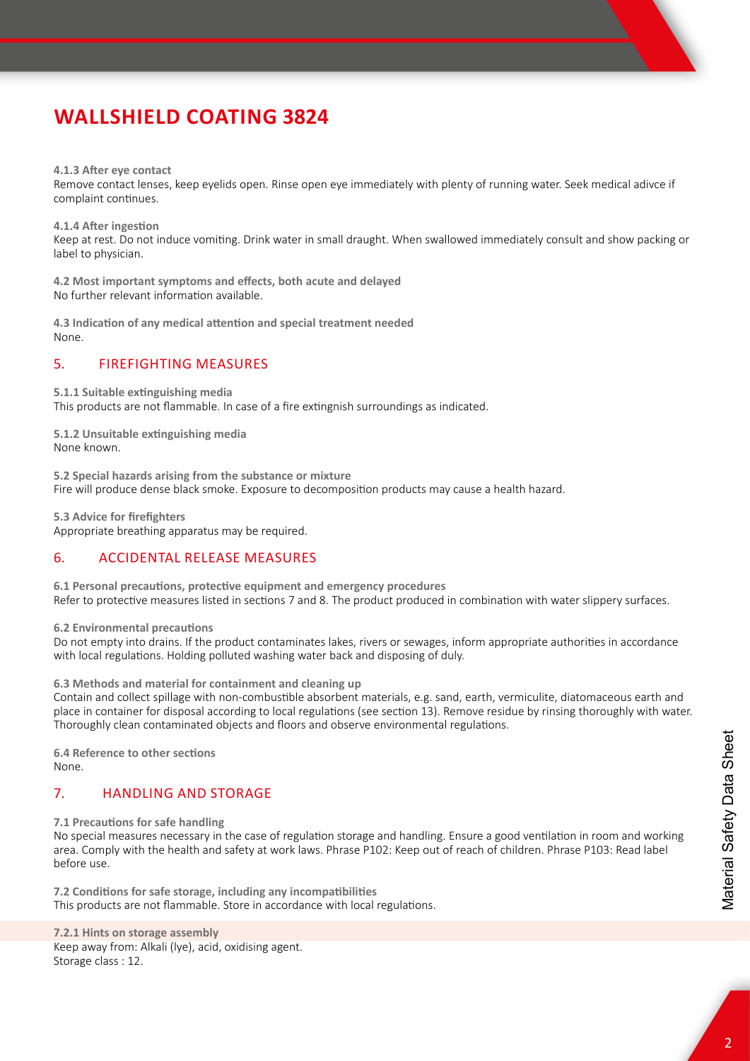**4.1.3 After eye contact**

Remove contact lenses, keep eyelids open. Rinse open eye immediately with plenty of running water. Seek medical adivce if complaint continues.

**4.1.4 After ingestion**

Keep at rest. Do not induce vomiting. Drink water in small draught. When swallowed immediately consult and show packing or label to physician.

**4.2 Most important symptoms and effects, both acute and delayed** No further relevant information available.

**4.3 Indication of any medical attention and special treatment needed** None.

## 5. FIREFIGHTING MEASURES

**5.1.1 Suitable extinguishing media** This products are not flammable. In case of a fire extingnish surroundings as indicated.

**5.1.2 Unsuitable extinguishing media** None known.

**5.2 Special hazards arising from the substance or mixture** Fire will produce dense black smoke. Exposure to decomposition products may cause a health hazard.

**5.3 Advice for firefighters** Appropriate breathing apparatus may be required.

## 6. ACCIDENTAL RELEASE MEASURES

**6.1 Personal precautions, protective equipment and emergency procedures** Refer to protective measures listed in sections 7 and 8. The product produced in combination with water slippery surfaces.

**6.2 Environmental precautions**

Do not empty into drains. If the product contaminates lakes, rivers or sewages, inform appropriate authorities in accordance with local regulations. Holding polluted washing water back and disposing of duly.

**6.3 Methods and material for containment and cleaning up**

Contain and collect spillage with non-combustible absorbent materials, e.g. sand, earth, vermiculite, diatomaceous earth and place in container for disposal according to local regulations (see section 13). Remove residue by rinsing thoroughly with water. Thoroughly clean contaminated objects and floors and observe environmental regulations.

**6.4 Reference to other sections** None.

## 7. HANDLING AND STORAGE

**7.1 Precautions for safe handling**

No special measures necessary in the case of regulation storage and handling. Ensure a good ventilation in room and working area. Comply with the health and safety at work laws. Phrase P102: Keep out of reach of children. Phrase P103: Read label before use.

**7.2 Conditions for safe storage, including any incompatibilities** This products are not flammable. Store in accordance with local regulations.

**7.2.1 Hints on storage assembly** Keep away from: Alkali (lye), acid, oxidising agent. Storage class : 12.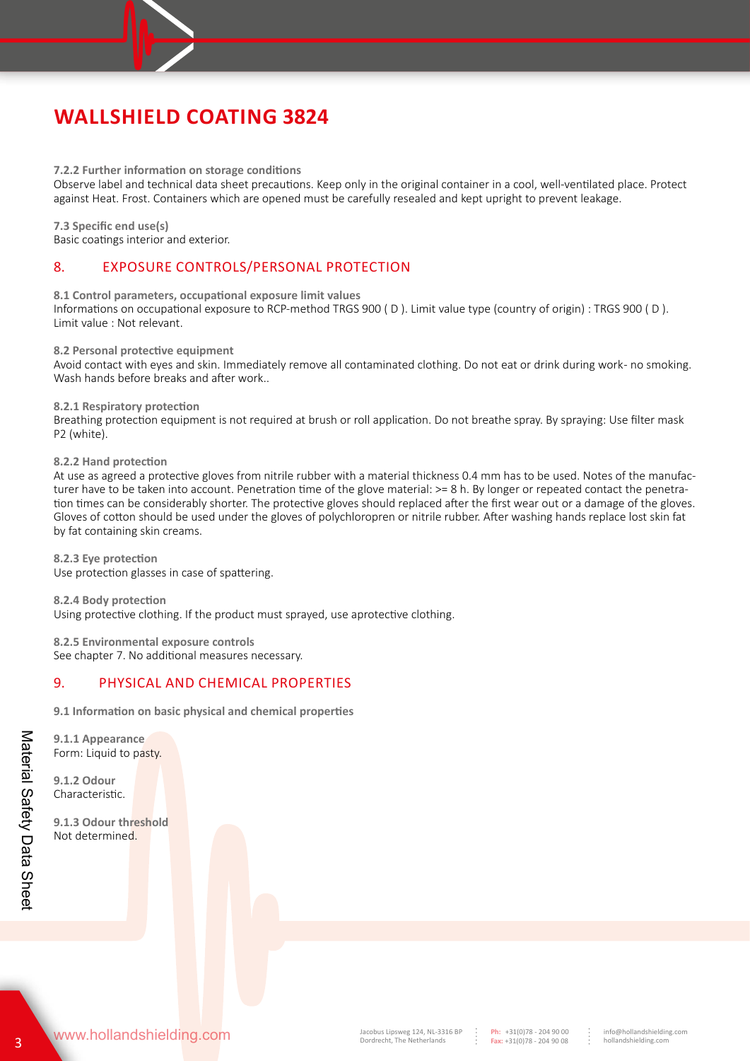**7.2.2 Further information on storage conditions**

Observe label and technical data sheet precautions. Keep only in the original container in a cool, well-ventilated place. Protect against Heat. Frost. Containers which are opened must be carefully resealed and kept upright to prevent leakage.

**7.3 Specific end use(s)** Basic coatings interior and exterior.

## 8. EXPOSURE CONTROLS/PERSONAL PROTECTION

**8.1 Control parameters, occupational exposure limit values**

Informations on occupational exposure to RCP-method TRGS 900 ( D ). Limit value type (country of origin) : TRGS 900 ( D ). Limit value : Not relevant.

### **8.2 Personal protective equipment**

Avoid contact with eyes and skin. Immediately remove all contaminated clothing. Do not eat or drink during work - no smoking. Wash hands before breaks and after work..

#### **8.2.1 Respiratory protection**

Breathing protection equipment is not required at brush or roll application. Do not breathe spray. By spraying: Use filter mask P2 (white).

#### **8.2.2 Hand protection**

At use as agreed a protective gloves from nitrile rubber with a material thickness 0.4 mm has to be used. Notes of the manufacturer have to be taken into account. Penetration time of the glove material: >= 8 h. By longer or repeated contact the penetration times can be considerably shorter. The protective gloves should replaced after the first wear out or a damage of the gloves. Gloves of cotton should be used under the gloves of polychloropren or nitrile rubber. After washing hands replace lost skin fat by fat containing skin creams.

**8.2.3 Eye protection** Use protection glasses in case of spattering.

**8.2.4 Body protection** Using protective clothing. If the product must sprayed, use aprotective clothing.

**8.2.5 Environmental exposure controls** See chapter 7. No additional measures necessary.

## 9. PHYSICAL AND CHEMICAL PROPERTIES

**9.1 Information on basic physical and chemical properties**

**9.1.1 Appearance** Form: Liquid to pasty.

**9.1.2 Odour** Characteristic.

**9.1.3 Odour threshold** Not determined.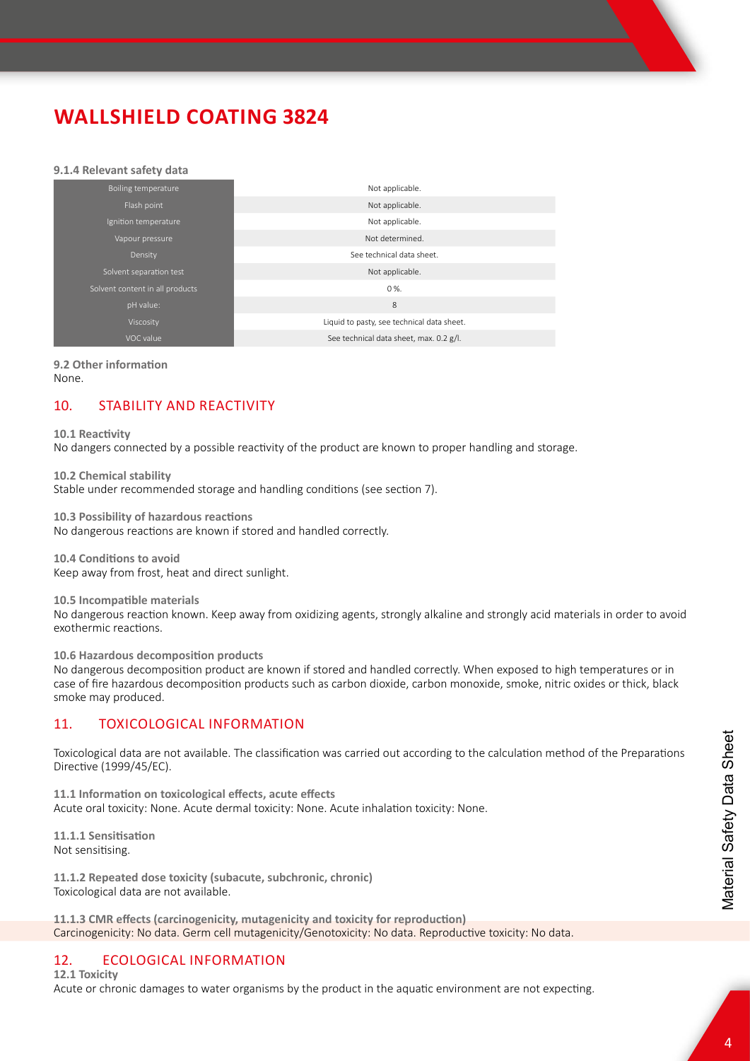#### **9.1.4 Relevant safety data**

| Boiling temperature             | Not applicable.                            |  |
|---------------------------------|--------------------------------------------|--|
| Flash point                     | Not applicable.                            |  |
| Ignition temperature            | Not applicable.                            |  |
| Vapour pressure                 | Not determined.                            |  |
| Density                         | See technical data sheet.                  |  |
| Solvent separation test         | Not applicable.                            |  |
| Solvent content in all products | 0%.                                        |  |
| pH value:                       | 8                                          |  |
| Viscosity                       | Liquid to pasty, see technical data sheet. |  |
| VOC value                       | See technical data sheet, max. 0.2 g/l.    |  |

**9.2 Other information** None.

## 10. STABILITY AND REACTIVITY

**10.1 Reactivity**

No dangers connected by a possible reactivity of the product are known to proper handling and storage.

**10.2 Chemical stability** Stable under recommended storage and handling conditions (see section 7).

**10.3 Possibility of hazardous reactions** No dangerous reactions are known if stored and handled correctly.

**10.4 Conditions to avoid** Keep away from frost, heat and direct sunlight.

**10.5 Incompatible materials** No dangerous reaction known. Keep away from oxidizing agents, strongly alkaline and strongly acid materials in order to avoid exothermic reactions.

**10.6 Hazardous decomposition products** No dangerous decomposition product are known if stored and handled correctly. When exposed to high temperatures or in case of fire hazardous decomposition products such as carbon dioxide, carbon monoxide, smoke, nitric oxides or thick, black smoke may produced.

## 11. TOXICOLOGICAL INFORMATION

Toxicological data are not available. The classification was carried out according to the calculation method of the Preparations Directive (1999/45/EC).

**11.1 Information on toxicological effects, acute effects** Acute oral toxicity: None. Acute dermal toxicity: None. Acute inhalation toxicity: None.

**11.1.1 Sensitisation** Not sensitising.

**11.1.2 Repeated dose toxicity (subacute, subchronic, chronic)** Toxicological data are not available.

**11.1.3 CMR effects (carcinogenicity, mutagenicity and toxicity for reproduction)** Carcinogenicity: No data. Germ cell mutagenicity/Genotoxicity: No data. Reproductive toxicity: No data.

## 12. ECOLOGICAL INFORMATION

**12.1 Toxicity** Acute or chronic damages to water organisms by the product in the aquatic environment are not expecting.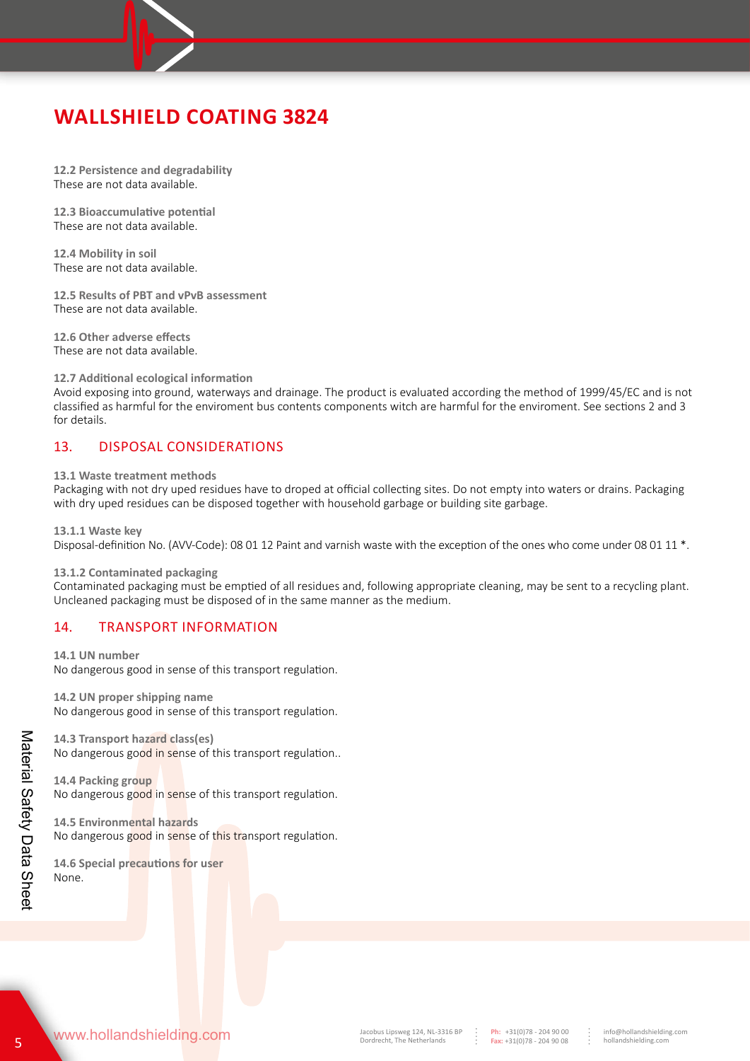**12.2 Persistence and degradability** These are not data available.

**12.3 Bioaccumulative potential** These are not data available.

**12.4 Mobility in soil** These are not data available.

**12.5 Results of PBT and vPvB assessment** These are not data available.

**12.6 Other adverse effects** These are not data available.

### **12.7 Additional ecological information**

Avoid exposing into ground, waterways and drainage. The product is evaluated according the method of 1999/45/EC and is not classified as harmful for the enviroment bus contents components witch are harmful for the enviroment. See sections 2 and 3 for details.

### 13. DISPOSAL CONSIDERATIONS

#### **13.1 Waste treatment methods**

Packaging with not dry uped residues have to droped at official collecting sites. Do not empty into waters or drains. Packaging with dry uped residues can be disposed together with household garbage or building site garbage.

**13.1.1 Waste key**

Disposal-definition No. (AVV-Code): 08 01 12 Paint and varnish waste with the exception of the ones who come under 08 01 11 \*.

#### **13.1.2 Contaminated packaging**

Contaminated packaging must be emptied of all residues and, following appropriate cleaning, may be sent to a recycling plant. Uncleaned packaging must be disposed of in the same manner as the medium.

## 14. TRANSPORT INFORMATION

**14.1 UN number**

No dangerous good in sense of this transport regulation.

**14.2 UN proper shipping name** No dangerous good in sense of this transport regulation.

**14.3 Transport hazard class(es)** No dangerous good in sense of this transport regulation..

#### **14.4 Packing group** No dangerous good in sense of this transport regulation.

**14.5 Environmental hazards**

No dangerous good in sense of this transport regulation.

**14.6 Special precautions for user** None.